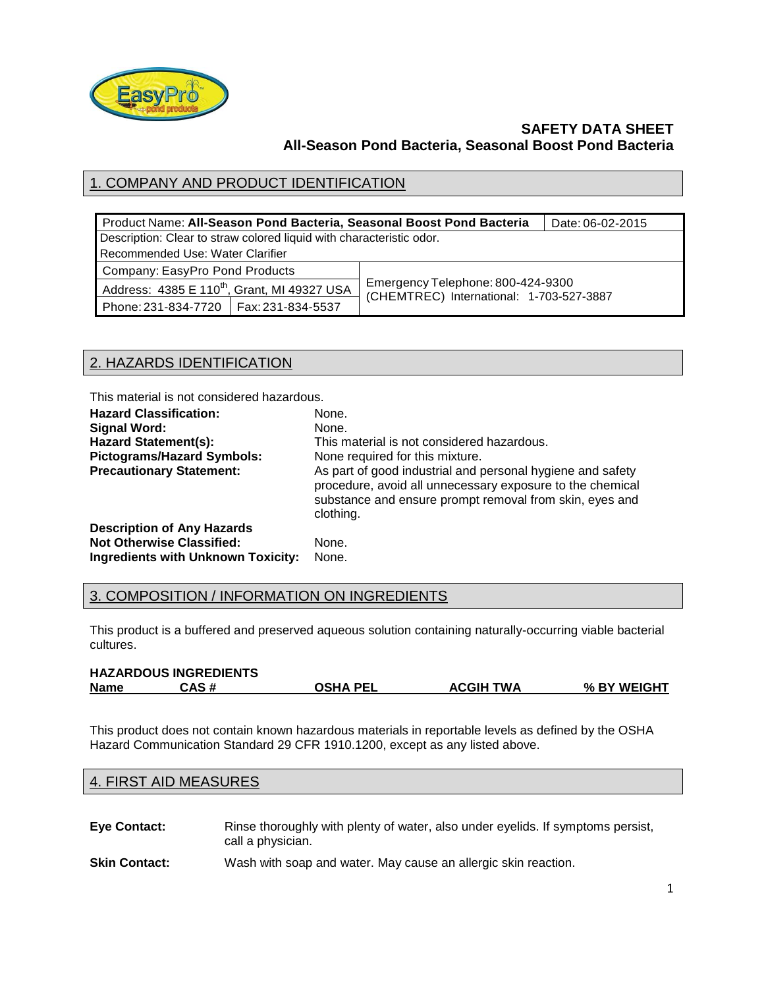

# **SAFETY DATA SHEET All-Season Pond Bacteria, Seasonal Boost Pond Bacteria**

# 1. COMPANY AND PRODUCT IDENTIFICATION

| Product Name: All-Season Pond Bacteria, Seasonal Boost Pond Bacteria |  |                                                                               | Date: 06-02-2015 |
|----------------------------------------------------------------------|--|-------------------------------------------------------------------------------|------------------|
| Description: Clear to straw colored liquid with characteristic odor. |  |                                                                               |                  |
| Recommended Use: Water Clarifier                                     |  |                                                                               |                  |
| Company: EasyPro Pond Products                                       |  |                                                                               |                  |
| Address: 4385 E 110 <sup>th</sup> , Grant, MI 49327 USA              |  | Emergency Telephone: 800-424-9300<br>(CHEMTREC) International: 1-703-527-3887 |                  |
| Phone: 231-834-7720   Fax: 231-834-5537                              |  |                                                                               |                  |

# 2. HAZARDS IDENTIFICATION

This material is not considered hazardous.

| <b>Hazard Classification:</b>             | None.                                                                                                                                                                                           |
|-------------------------------------------|-------------------------------------------------------------------------------------------------------------------------------------------------------------------------------------------------|
| <b>Signal Word:</b>                       | None.                                                                                                                                                                                           |
| <b>Hazard Statement(s):</b>               | This material is not considered hazardous.                                                                                                                                                      |
| <b>Pictograms/Hazard Symbols:</b>         | None required for this mixture.                                                                                                                                                                 |
| <b>Precautionary Statement:</b>           | As part of good industrial and personal hygiene and safety<br>procedure, avoid all unnecessary exposure to the chemical<br>substance and ensure prompt removal from skin, eyes and<br>clothing. |
| <b>Description of Any Hazards</b>         |                                                                                                                                                                                                 |
| <b>Not Otherwise Classified:</b>          | None.                                                                                                                                                                                           |
| <b>Ingredients with Unknown Toxicity:</b> | None.                                                                                                                                                                                           |

# 3. COMPOSITION / INFORMATION ON INGREDIENTS

This product is a buffered and preserved aqueous solution containing naturally-occurring viable bacterial cultures.

| <b>HAZARDOUS INGREDIENTS</b> |       |                 |                  |             |
|------------------------------|-------|-----------------|------------------|-------------|
| <b>Name</b>                  | CAS # | <b>OSHA PEL</b> | <b>ACGIH TWA</b> | % BY WEIGHT |

This product does not contain known hazardous materials in reportable levels as defined by the OSHA Hazard Communication Standard 29 CFR 1910.1200, except as any listed above.

# 4. FIRST AID MEASURES

- **Eye Contact:** Rinse thoroughly with plenty of water, also under eyelids. If symptoms persist, call a physician.
- **Skin Contact:** Wash with soap and water. May cause an allergic skin reaction.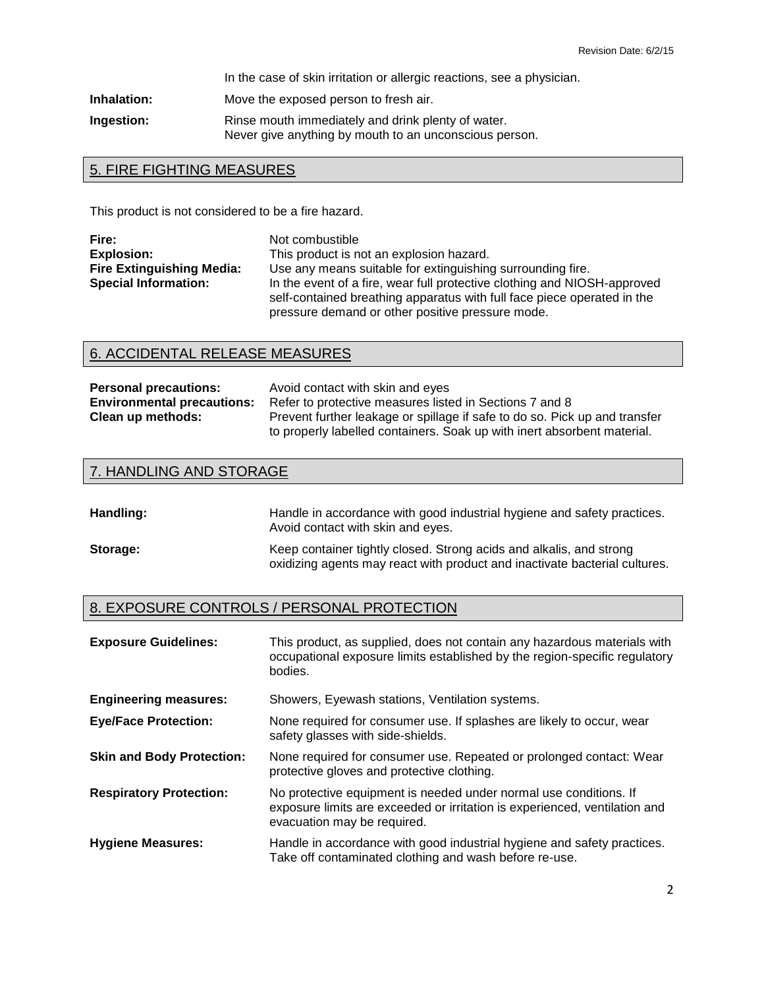In the case of skin irritation or allergic reactions, see a physician.

**Inhalation:** Move the exposed person to fresh air.

**Ingestion:** Rinse mouth immediately and drink plenty of water. Never give anything by mouth to an unconscious person.

# 5. FIRE FIGHTING MEASURES

This product is not considered to be a fire hazard.

| Fire:                            | Not combustible                                                          |
|----------------------------------|--------------------------------------------------------------------------|
| <b>Explosion:</b>                | This product is not an explosion hazard.                                 |
| <b>Fire Extinguishing Media:</b> | Use any means suitable for extinguishing surrounding fire.               |
| <b>Special Information:</b>      | In the event of a fire, wear full protective clothing and NIOSH-approved |
|                                  | self-contained breathing apparatus with full face piece operated in the  |
|                                  | pressure demand or other positive pressure mode.                         |

# 6. ACCIDENTAL RELEASE MEASURES

| <b>Personal precautions:</b>      | Avoid contact with skin and eyes                                           |  |
|-----------------------------------|----------------------------------------------------------------------------|--|
| <b>Environmental precautions:</b> | Refer to protective measures listed in Sections 7 and 8                    |  |
| Clean up methods:                 | Prevent further leakage or spillage if safe to do so. Pick up and transfer |  |
|                                   | to properly labelled containers. Soak up with inert absorbent material.    |  |

# 7. HANDLING AND STORAGE

| Handling: | Handle in accordance with good industrial hygiene and safety practices.<br>Avoid contact with skin and eyes.                                      |
|-----------|---------------------------------------------------------------------------------------------------------------------------------------------------|
| Storage:  | Keep container tightly closed. Strong acids and alkalis, and strong<br>oxidizing agents may react with product and inactivate bacterial cultures. |

# 8. EXPOSURE CONTROLS / PERSONAL PROTECTION

| <b>Exposure Guidelines:</b>      | This product, as supplied, does not contain any hazardous materials with<br>occupational exposure limits established by the region-specific regulatory<br>bodies.              |
|----------------------------------|--------------------------------------------------------------------------------------------------------------------------------------------------------------------------------|
| <b>Engineering measures:</b>     | Showers, Eyewash stations, Ventilation systems.                                                                                                                                |
| <b>Eye/Face Protection:</b>      | None required for consumer use. If splashes are likely to occur, wear<br>safety glasses with side-shields.                                                                     |
| <b>Skin and Body Protection:</b> | None required for consumer use. Repeated or prolonged contact: Wear<br>protective gloves and protective clothing.                                                              |
| <b>Respiratory Protection:</b>   | No protective equipment is needed under normal use conditions. If<br>exposure limits are exceeded or irritation is experienced, ventilation and<br>evacuation may be required. |
| <b>Hygiene Measures:</b>         | Handle in accordance with good industrial hygiene and safety practices.<br>Take off contaminated clothing and wash before re-use.                                              |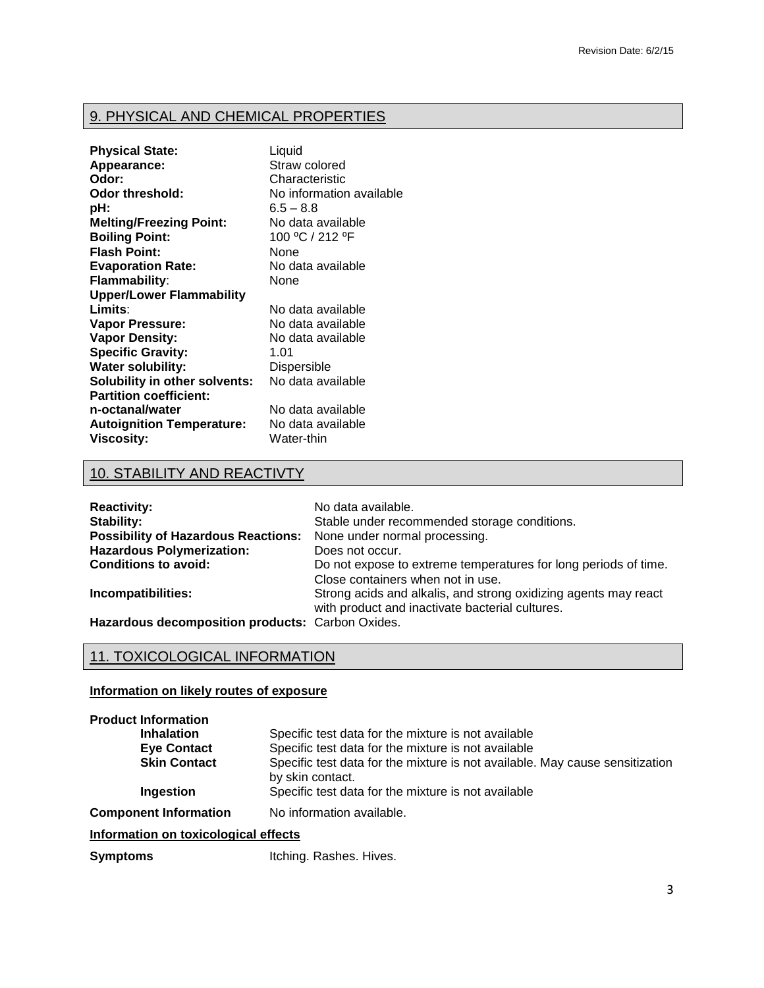# 9. PHYSICAL AND CHEMICAL PROPERTIES

| <b>Physical State:</b>           | Liguid                   |
|----------------------------------|--------------------------|
| Appearance:                      | Straw colored            |
| Odor:                            | Characteristic           |
| Odor threshold:                  | No information available |
| pH:                              | $6.5 - 8.8$              |
| <b>Melting/Freezing Point:</b>   | No data available        |
| <b>Boiling Point:</b>            | 100 °C / 212 °F          |
| <b>Flash Point:</b>              | None                     |
| <b>Evaporation Rate:</b>         | No data available        |
| <b>Flammability:</b>             | None                     |
| <b>Upper/Lower Flammability</b>  |                          |
| Limits:                          | No data available        |
| Vapor Pressure:                  | No data available        |
| <b>Vapor Density:</b>            | No data available        |
| <b>Specific Gravity:</b>         | 1.01                     |
| <b>Water solubility:</b>         | Dispersible              |
| Solubility in other solvents:    | No data available        |
| <b>Partition coefficient:</b>    |                          |
| n-octanal/water                  | No data available        |
| <b>Autoignition Temperature:</b> | No data available        |
| <b>Viscosity:</b>                | Water-thin               |

# 10. STABILITY AND REACTIVTY

| <b>Reactivity:</b>                              | No data available.                                              |
|-------------------------------------------------|-----------------------------------------------------------------|
| <b>Stability:</b>                               | Stable under recommended storage conditions.                    |
| <b>Possibility of Hazardous Reactions:</b>      | None under normal processing.                                   |
| <b>Hazardous Polymerization:</b>                | Does not occur.                                                 |
| <b>Conditions to avoid:</b>                     | Do not expose to extreme temperatures for long periods of time. |
|                                                 | Close containers when not in use.                               |
| Incompatibilities:                              | Strong acids and alkalis, and strong oxidizing agents may react |
|                                                 | with product and inactivate bacterial cultures.                 |
| Heresdeus desempecitien preducto: Cerben Ovideo |                                                                 |

**Hazardous decomposition products:** Carbon Oxides.

## 11. TOXICOLOGICAL INFORMATION

## **Information on likely routes of exposure**

| <b>Product Information</b>           |                                                                                                  |
|--------------------------------------|--------------------------------------------------------------------------------------------------|
| <b>Inhalation</b>                    | Specific test data for the mixture is not available                                              |
| <b>Eye Contact</b>                   | Specific test data for the mixture is not available                                              |
| <b>Skin Contact</b>                  | Specific test data for the mixture is not available. May cause sensitization<br>by skin contact. |
| Ingestion                            | Specific test data for the mixture is not available                                              |
| <b>Component Information</b>         | No information available.                                                                        |
| Information on toxicological effects |                                                                                                  |
| <b>Symptoms</b>                      | Itching. Rashes. Hives.                                                                          |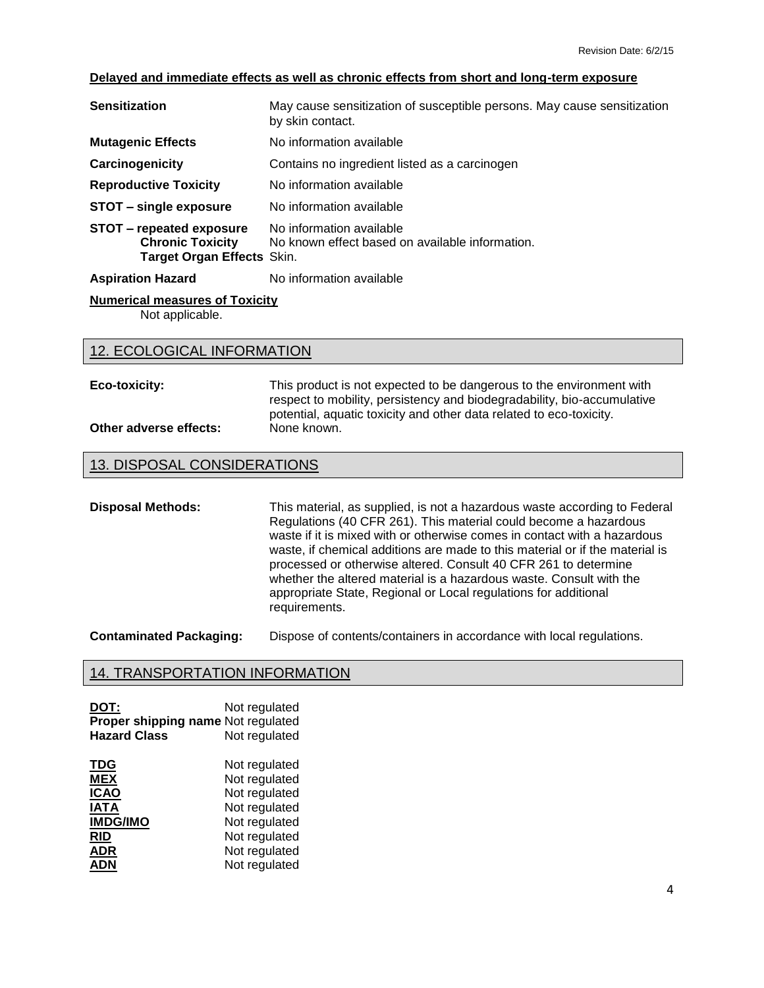## **Delayed and immediate effects as well as chronic effects from short and long-term exposure**

| <b>Sensitization</b>                                                                     | May cause sensitization of susceptible persons. May cause sensitization<br>by skin contact. |
|------------------------------------------------------------------------------------------|---------------------------------------------------------------------------------------------|
| <b>Mutagenic Effects</b>                                                                 | No information available                                                                    |
| Carcinogenicity                                                                          | Contains no ingredient listed as a carcinogen                                               |
| <b>Reproductive Toxicity</b>                                                             | No information available                                                                    |
| STOT – single exposure                                                                   | No information available                                                                    |
| <b>STOT - repeated exposure</b><br><b>Chronic Toxicity</b><br>Target Organ Effects Skin. | No information available<br>No known effect based on available information.                 |
| <b>Aspiration Hazard</b>                                                                 | No information available                                                                    |
| March 2019 - Andrea March 2019 - Andrea March 2019 - Andrea March 2019                   |                                                                                             |

#### **Numerical measures of Toxicity**

Not applicable.

## 12. ECOLOGICAL INFORMATION

| Eco-toxicity:          | This product is not expected to be dangerous to the environment with    |  |
|------------------------|-------------------------------------------------------------------------|--|
|                        | respect to mobility, persistency and biodegradability, bio-accumulative |  |
|                        | potential, aquatic toxicity and other data related to eco-toxicity.     |  |
| Other adverse effects: | None known.                                                             |  |

## 13. DISPOSAL CONSIDERATIONS

**Disposal Methods:** This material, as supplied, is not a hazardous waste according to Federal Regulations (40 CFR 261). This material could become a hazardous waste if it is mixed with or otherwise comes in contact with a hazardous waste, if chemical additions are made to this material or if the material is processed or otherwise altered. Consult 40 CFR 261 to determine whether the altered material is a hazardous waste. Consult with the appropriate State, Regional or Local regulations for additional requirements.

**Contaminated Packaging:** Dispose of contents/containers in accordance with local regulations.

## 14. TRANSPORTATION INFORMATION

**DOT:** Not regulated **Proper shipping name Not regulated<br><b>Hazard Class** Mot regulated **Not regulated** 

| Not regulated |
|---------------|
| Not regulated |
| Not regulated |
| Not regulated |
| Not regulated |
| Not regulated |
| Not regulated |
| Not regulated |
|               |